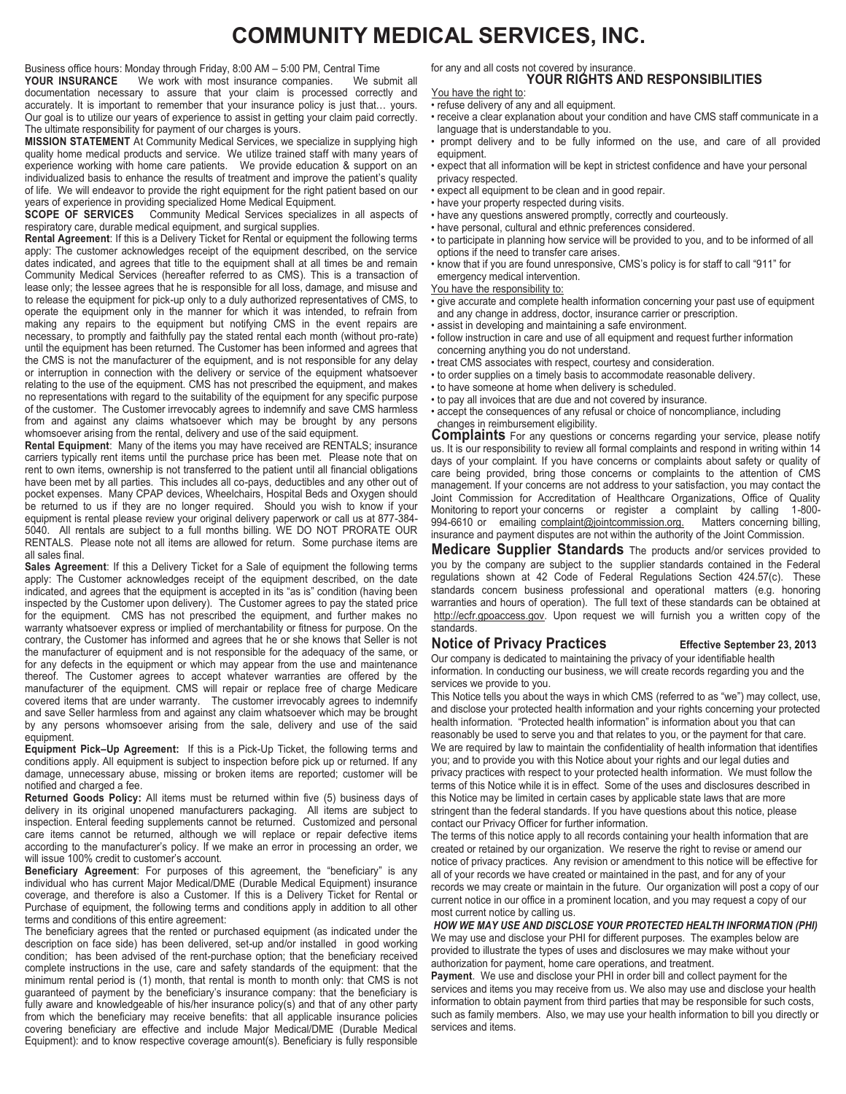# **COMMUNITY MEDICAL SERVICES, INC.**

Business office hours: Monday through Friday, 8:00 AM – 5:00 PM, Central Time<br>**YOUR INSURANCE** We work with most insurance companies. We submit all

We work with most insurance companies. documentation necessary to assure that your claim is processed correctly and accurately. It is important to remember that your insurance policy is just that… yours. Our goal is to utilize our years of experience to assist in getting your claim paid correctly. The ultimate responsibility for payment of our charges is yours.

**MISSION STATEMENT** At Community Medical Services, we specialize in supplying high quality home medical products and service. We utilize trained staff with many years of experience working with home care patients. We provide education & support on an individualized basis to enhance the results of treatment and improve the patient's quality of life. We will endeavor to provide the right equipment for the right patient based on our years of experience in providing specialized Home Medical Equipment.

**SCOPE OF SERVICES** Community Medical Services specializes in all aspects of respiratory care, durable medical equipment, and surgical supplies.

**Rental Agreement**: If this is a Delivery Ticket for Rental or equipment the following terms apply: The customer acknowledges receipt of the equipment described, on the service dates indicated, and agrees that title to the equipment shall at all times be and remain Community Medical Services (hereafter referred to as CMS). This is a transaction of lease only; the lessee agrees that he is responsible for all loss, damage, and misuse and to release the equipment for pick-up only to a duly authorized representatives of CMS, to operate the equipment only in the manner for which it was intended, to refrain from making any repairs to the equipment but notifying CMS in the event repairs are necessary, to promptly and faithfully pay the stated rental each month (without pro-rate) until the equipment has been returned. The Customer has been informed and agrees that the CMS is not the manufacturer of the equipment, and is not responsible for any delay or interruption in connection with the delivery or service of the equipment whatsoever relating to the use of the equipment. CMS has not prescribed the equipment, and makes no representations with regard to the suitability of the equipment for any specific purpose of the customer. The Customer irrevocably agrees to indemnify and save CMS harmless from and against any claims whatsoever which may be brought by any persons whomsoever arising from the rental, delivery and use of the said equipment.

**Rental Equipment**: Many of the items you may have received are RENTALS; insurance carriers typically rent items until the purchase price has been met. Please note that on rent to own items, ownership is not transferred to the patient until all financial obligations have been met by all parties. This includes all co-pays, deductibles and any other out of pocket expenses. Many CPAP devices, Wheelchairs, Hospital Beds and Oxygen should be returned to us if they are no longer required. Should you wish to know if your equipment is rental please review your original delivery paperwork or call us at 877-384- 5040. All rentals are subject to a full months billing. WE DO NOT PRORATE OUR RENTALS. Please note not all items are allowed for return. Some purchase items are all sales final.

**Sales Agreement**: If this a Delivery Ticket for a Sale of equipment the following terms apply: The Customer acknowledges receipt of the equipment described, on the date indicated, and agrees that the equipment is accepted in its "as is" condition (having been inspected by the Customer upon delivery). The Customer agrees to pay the stated price for the equipment. CMS has not prescribed the equipment, and further makes no warranty whatsoever express or implied of merchantability or fitness for purpose. On the contrary, the Customer has informed and agrees that he or she knows that Seller is not the manufacturer of equipment and is not responsible for the adequacy of the same, or for any defects in the equipment or which may appear from the use and maintenance thereof. The Customer agrees to accept whatever warranties are offered by the manufacturer of the equipment. CMS will repair or replace free of charge Medicare covered items that are under warranty. The customer irrevocably agrees to indemnify and save Seller harmless from and against any claim whatsoever which may be brought by any persons whomsoever arising from the sale, delivery and use of the said equipment.

**Equipment Pick–Up Agreement:** If this is a Pick-Up Ticket, the following terms and conditions apply. All equipment is subject to inspection before pick up or returned. If any damage, unnecessary abuse, missing or broken items are reported; customer will be notified and charged a fee.

**Returned Goods Policy:** All items must be returned within five (5) business days of delivery in its original unopened manufacturers packaging. All items are subject to inspection. Enteral feeding supplements cannot be returned. Customized and personal care items cannot be returned, although we will replace or repair defective items according to the manufacturer's policy. If we make an error in processing an order, we will issue 100% credit to customer's account.

**Beneficiary Agreement**: For purposes of this agreement, the "beneficiary" is any individual who has current Major Medical/DME (Durable Medical Equipment) insurance coverage, and therefore is also a Customer. If this is a Delivery Ticket for Rental or Purchase of equipment, the following terms and conditions apply in addition to all other terms and conditions of this entire agreement:

The beneficiary agrees that the rented or purchased equipment (as indicated under the description on face side) has been delivered, set-up and/or installed in good working condition; has been advised of the rent-purchase option; that the beneficiary received complete instructions in the use, care and safety standards of the equipment: that the minimum rental period is (1) month, that rental is month to month only: that CMS is not guaranteed of payment by the beneficiary's insurance company: that the beneficiary is fully aware and knowledgeable of his/her insurance policy(s) and that of any other party from which the beneficiary may receive benefits: that all applicable insurance policies covering beneficiary are effective and include Major Medical/DME (Durable Medical Equipment): and to know respective coverage amount(s). Beneficiary is fully responsible

for any and all costs not covered by insurance. **YOUR RIGHTS AND RESPONSIBILITIES**

You have the right to:

- refuse delivery of any and all equipment.
- receive a clear explanation about your condition and have CMS staff communicate in a language that is understandable to you.
- prompt delivery and to be fully informed on the use, and care of all provided equipment.
- expect that all information will be kept in strictest confidence and have your personal privacy respected.
- expect all equipment to be clean and in good repair.
- have your property respected during visits.
- have any questions answered promptly, correctly and courteously.
- have personal, cultural and ethnic preferences considered.
- to participate in planning how service will be provided to you, and to be informed of all options if the need to transfer care arises.
- know that if you are found unresponsive, CMS's policy is for staff to call "911" for emergency medical intervention.

#### You have the responsibility to:

- give accurate and complete health information concerning your past use of equipment and any change in address, doctor, insurance carrier or prescription.
- assist in developing and maintaining a safe environment.
- follow instruction in care and use of all equipment and request further information concerning anything you do not understand.
- treat CMS associates with respect, courtesy and consideration.
- to order supplies on a timely basis to accommodate reasonable delivery.
- to have someone at home when delivery is scheduled.
- to pay all invoices that are due and not covered by insurance.
- accept the consequences of any refusal or choice of noncompliance, including changes in reimbursement eligibility.

**Complaints** For any questions or concerns regarding your service, please notify us. It is our responsibility to review all formal complaints and respond in writing within 14 days of your complaint. If you have concerns or complaints about safety or quality of care being provided, bring those concerns or complaints to the attention of CMS management. If your concerns are not address to your satisfaction, you may contact the Joint Commission for Accreditation of Healthcare Organizations, Office of Quality Monitoring to report your concerns or register a complaint by calling 1-800-<br>994-6610 or emailing complaint@jointcommission.org. Matters concerning billing, 994-6610 or emailing complaint@jointcommission.org. insurance and payment disputes are not within the authority of the Joint Commission.

**Medicare Supplier Standards** The products and/or services provided to you by the company are subject to the supplier standards contained in the Federal regulations shown at 42 Code of Federal Regulations Section 424.57(c). These standards concern business professional and operational matters (e.g. honoring warranties and hours of operation). The full text of these standards can be obtained at http://ecfr.gpoaccess.gov. Upon request we will furnish you a written copy of the standards.

## **Notice of Privacy Practices Effective September 23, 2013**

Our company is dedicated to maintaining the privacy of your identifiable health information. In conducting our business, we will create records regarding you and the services we provide to you.

This Notice tells you about the ways in which CMS (referred to as "we") may collect, use, and disclose your protected health information and your rights concerning your protected health information. "Protected health information" is information about you that can reasonably be used to serve you and that relates to you, or the payment for that care. We are required by law to maintain the confidentiality of health information that identifies you; and to provide you with this Notice about your rights and our legal duties and privacy practices with respect to your protected health information. We must follow the terms of this Notice while it is in effect. Some of the uses and disclosures described in this Notice may be limited in certain cases by applicable state laws that are more stringent than the federal standards. If you have questions about this notice, please contact our Privacy Officer for further information.

The terms of this notice apply to all records containing your health information that are created or retained by our organization. We reserve the right to revise or amend our notice of privacy practices. Any revision or amendment to this notice will be effective for all of your records we have created or maintained in the past, and for any of your records we may create or maintain in the future. Our organization will post a copy of our current notice in our office in a prominent location, and you may request a copy of our most current notice by calling us.

*HOW WE MAY USE AND DISCLOSE YOUR PROTECTED HEALTH INFORMATION (PHI)* We may use and disclose your PHI for different purposes. The examples below are provided to illustrate the types of uses and disclosures we may make without your authorization for payment, home care operations, and treatment.

**Payment**. We use and disclose your PHI in order bill and collect payment for the services and items you may receive from us. We also may use and disclose your health information to obtain payment from third parties that may be responsible for such costs, such as family members. Also, we may use your health information to bill you directly or services and items.